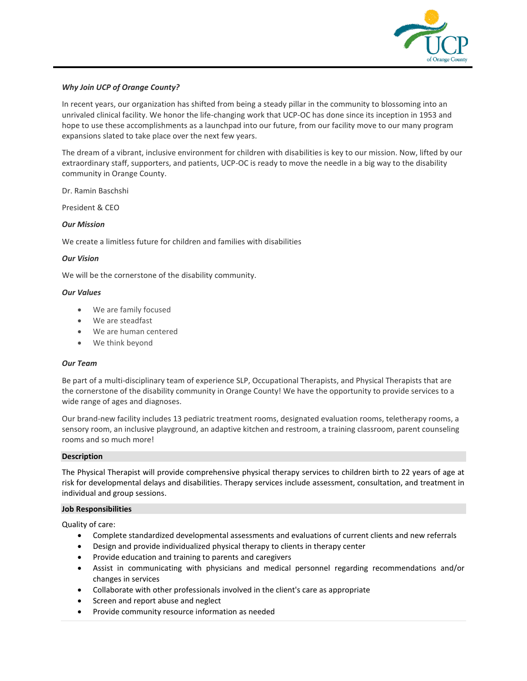

## *Why Join UCP of Orange County?*

In recent years, our organization has shifted from being a steady pillar in the community to blossoming into an unrivaled clinical facility. We honor the life-changing work that UCP-OC has done since its inception in 1953 and hope to use these accomplishments as a launchpad into our future, from our facility move to our many program expansions slated to take place over the next few years.

The dream of a vibrant, inclusive environment for children with disabilities is key to our mission. Now, lifted by our extraordinary staff, supporters, and patients, UCP-OC is ready to move the needle in a big way to the disability community in Orange County.

Dr. Ramin Baschshi

President & CEO

## *Our Mission*

We create a limitless future for children and families with disabilities

#### *Our Vision*

We will be the cornerstone of the disability community.

## *Our Values*

- We are family focused
- We are steadfast
- We are human centered
- We think beyond

### *Our Team*

Be part of a multi-disciplinary team of experience SLP, Occupational Therapists, and Physical Therapists that are the cornerstone of the disability community in Orange County! We have the opportunity to provide services to a wide range of ages and diagnoses.

Our brand-new facility includes 13 pediatric treatment rooms, designated evaluation rooms, teletherapy rooms, a sensory room, an inclusive playground, an adaptive kitchen and restroom, a training classroom, parent counseling rooms and so much more!

#### **Description**

The Physical Therapist will provide comprehensive physical therapy services to children birth to 22 years of age at risk for developmental delays and disabilities. Therapy services include assessment, consultation, and treatment in individual and group sessions.

#### **Job Responsibilities**

Quality of care:

- Complete standardized developmental assessments and evaluations of current clients and new referrals
- Design and provide individualized physical therapy to clients in therapy center
- Provide education and training to parents and caregivers
- Assist in communicating with physicians and medical personnel regarding recommendations and/or changes in services
- Collaborate with other professionals involved in the client's care as appropriate
- Screen and report abuse and neglect
- Provide community resource information as needed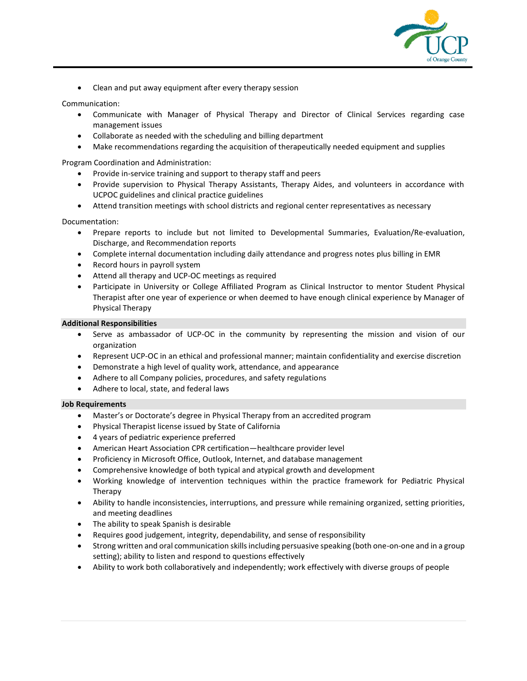

• Clean and put away equipment after every therapy session

Communication:

- Communicate with Manager of Physical Therapy and Director of Clinical Services regarding case management issues
- Collaborate as needed with the scheduling and billing department
- Make recommendations regarding the acquisition of therapeutically needed equipment and supplies

Program Coordination and Administration:

- Provide in-service training and support to therapy staff and peers
- Provide supervision to Physical Therapy Assistants, Therapy Aides, and volunteers in accordance with UCPOC guidelines and clinical practice guidelines
- Attend transition meetings with school districts and regional center representatives as necessary

Documentation:

- Prepare reports to include but not limited to Developmental Summaries, Evaluation/Re-evaluation, Discharge, and Recommendation reports
- Complete internal documentation including daily attendance and progress notes plus billing in EMR
- Record hours in payroll system
- Attend all therapy and UCP-OC meetings as required
- Participate in University or College Affiliated Program as Clinical Instructor to mentor Student Physical Therapist after one year of experience or when deemed to have enough clinical experience by Manager of Physical Therapy

## **Additional Responsibilities**

- Serve as ambassador of UCP-OC in the community by representing the mission and vision of our organization
- Represent UCP-OC in an ethical and professional manner; maintain confidentiality and exercise discretion
- Demonstrate a high level of quality work, attendance, and appearance
- Adhere to all Company policies, procedures, and safety regulations
- Adhere to local, state, and federal laws

#### **Job Requirements**

- Master's or Doctorate's degree in Physical Therapy from an accredited program
- Physical Therapist license issued by State of California
- 4 years of pediatric experience preferred
- American Heart Association CPR certification—healthcare provider level
- Proficiency in Microsoft Office, Outlook, Internet, and database management
- Comprehensive knowledge of both typical and atypical growth and development
- Working knowledge of intervention techniques within the practice framework for Pediatric Physical Therapy
- Ability to handle inconsistencies, interruptions, and pressure while remaining organized, setting priorities, and meeting deadlines
- The ability to speak Spanish is desirable
- Requires good judgement, integrity, dependability, and sense of responsibility
- Strong written and oral communication skills including persuasive speaking (both one-on-one and in a group setting); ability to listen and respond to questions effectively
- Ability to work both collaboratively and independently; work effectively with diverse groups of people